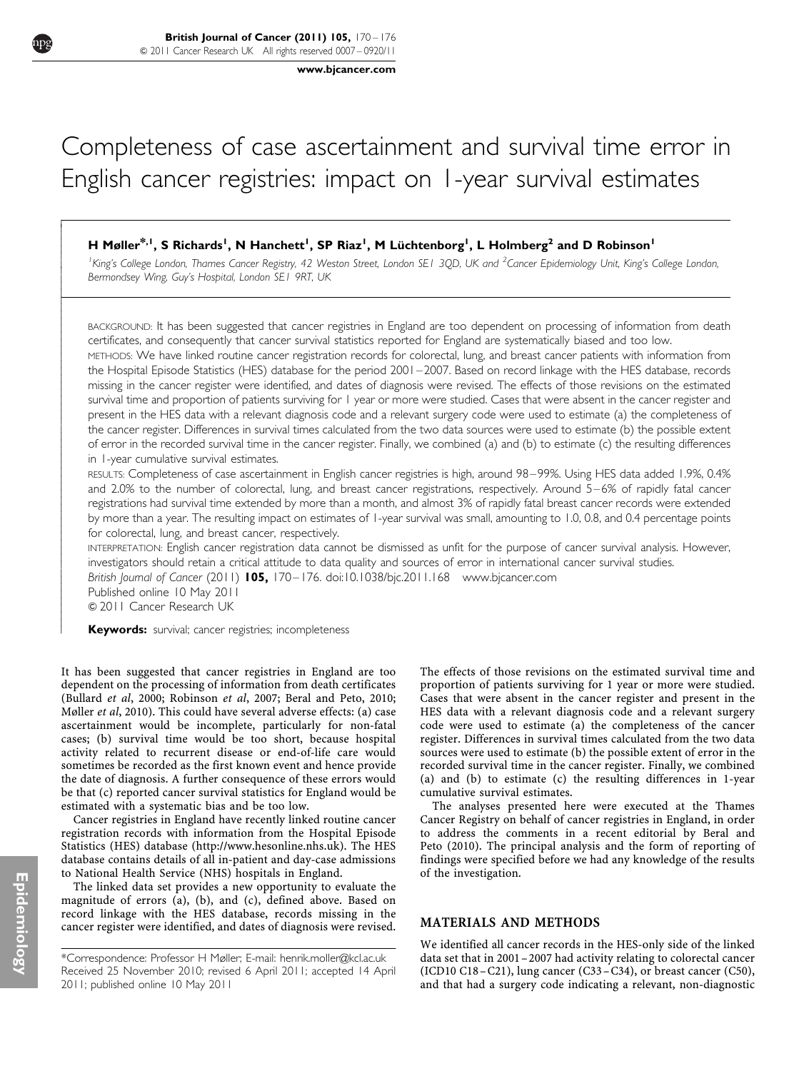[www.bjcancer.com](http://www.bjcancer.com)

# Completeness of case ascertainment and survival time error in English cancer registries: impact on 1-year survival estimates

## H Møller\*,<sup>1</sup>, S Richards<sup>1</sup>, N Hanchett<sup>1</sup>, SP Riaz<sup>1</sup>, M Lüchtenborg<sup>1</sup>, L Holmberg<sup>2</sup> and D Robinson<sup>1</sup>

<sup>1</sup>King's College London, Thames Cancer Registry, 42 Weston Street, London SE1 3QD, UK and <sup>2</sup>Cancer Epidemiology Unit, King's College London, Bermondsey Wing, Guy's Hospital, London SE1 9RT, UK

BACKGROUND: It has been suggested that cancer registries in England are too dependent on processing of information from death certificates, and consequently that cancer survival statistics reported for England are systematically biased and too low.

METHODS: We have linked routine cancer registration records for colorectal, lung, and breast cancer patients with information from the Hospital Episode Statistics (HES) database for the period 2001 – 2007. Based on record linkage with the HES database, records missing in the cancer register were identified, and dates of diagnosis were revised. The effects of those revisions on the estimated survival time and proportion of patients surviving for 1 year or more were studied. Cases that were absent in the cancer register and present in the HES data with a relevant diagnosis code and a relevant surgery code were used to estimate (a) the completeness of the cancer register. Differences in survival times calculated from the two data sources were used to estimate (b) the possible extent of error in the recorded survival time in the cancer register. Finally, we combined (a) and (b) to estimate (c) the resulting differences in 1-year cumulative survival estimates.

RESULTS: Completeness of case ascertainment in English cancer registries is high, around 98 – 99%. Using HES data added 1.9%, 0.4% and 2.0% to the number of colorectal, lung, and breast cancer registrations, respectively. Around 5 – 6% of rapidly fatal cancer registrations had survival time extended by more than a month, and almost 3% of rapidly fatal breast cancer records were extended by more than a year. The resulting impact on estimates of 1-year survival was small, amounting to 1.0, 0.8, and 0.4 percentage points for colorectal, lung, and breast cancer, respectively.

INTERPRETATION: English cancer registration data cannot be dismissed as unfit for the purpose of cancer survival analysis. However, investigators should retain a critical attitude to data quality and sources of error in international cancer survival studies.

British Journal of Cancer (2011) 105, 170-176. doi:[10.1038/bjc.2011.168](http://dx.doi.org/10.1038/bjc.2011.168) [www.bjcancer.com](http://www.bjcancer.com)

Published online 10 May 2011

-----------------------------------------------------

© 2011 Cancer Research UK

Keywords: survival; cancer registries; incompleteness

It has been suggested that cancer registries in England are too dependent on the processing of information from death certificates ([Bullard](#page-6-0) et al, 2000; [Robinson](#page-6-0) et al, 2007; [Beral and Peto, 2010](#page-6-0); [Møller](#page-6-0) et al, 2010). This could have several adverse effects: (a) case ascertainment would be incomplete, particularly for non-fatal cases; (b) survival time would be too short, because hospital activity related to recurrent disease or end-of-life care would sometimes be recorded as the first known event and hence provide the date of diagnosis. A further consequence of these errors would be that (c) reported cancer survival statistics for England would be estimated with a systematic bias and be too low.

Cancer registries in England have recently linked routine cancer registration records with information from the Hospital Episode Statistics (HES) database [\(http://www.hesonline.nhs.uk\)](http://www.hesonline.nhs.uk). The HES database contains details of all in-patient and day-case admissions to National Health Service (NHS) hospitals in England.

The linked data set provides a new opportunity to evaluate the magnitude of errors (a), (b), and (c), defined above. Based on record linkage with the HES database, records missing in the cancer register were identified, and dates of diagnosis were revised. The effects of those revisions on the estimated survival time and proportion of patients surviving for 1 year or more were studied. Cases that were absent in the cancer register and present in the HES data with a relevant diagnosis code and a relevant surgery code were used to estimate (a) the completeness of the cancer register. Differences in survival times calculated from the two data sources were used to estimate (b) the possible extent of error in the recorded survival time in the cancer register. Finally, we combined (a) and (b) to estimate (c) the resulting differences in 1-year cumulative survival estimates.

The analyses presented here were executed at the Thames Cancer Registry on behalf of cancer registries in England, in order to address the comments in a recent editorial by [Beral and](#page-6-0) [Peto \(2010\)](#page-6-0). The principal analysis and the form of reporting of findings were specified before we had any knowledge of the results of the investigation.

#### MATERIALS AND METHODS

We identified all cancer records in the HES-only side of the linked data set that in 2001– 2007 had activity relating to colorectal cancer (ICD10 C18– C21), lung cancer (C33–C34), or breast cancer (C50), and that had a surgery code indicating a relevant, non-diagnostic

Received 25 November 2010; revised 6 April 2011; accepted 14 April 2011; published online 10 May 2011 \*Correspondence: Professor H Møller; E-mail: [henrik.moller@kcl.ac.uk](mailto:henrik.moller@kcl.ac.uk)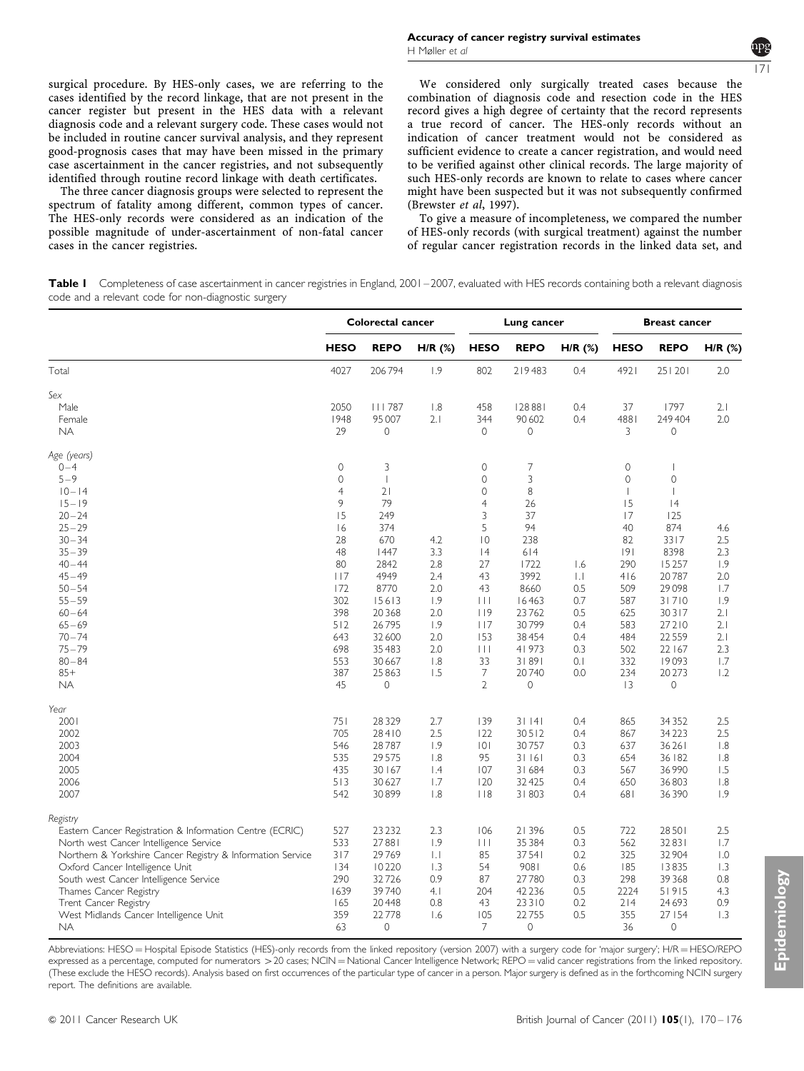<span id="page-1-0"></span>surgical procedure. By HES-only cases, we are referring to the cases identified by the record linkage, that are not present in the cancer register but present in the HES data with a relevant diagnosis code and a relevant surgery code. These cases would not be included in routine cancer survival analysis, and they represent good-prognosis cases that may have been missed in the primary case ascertainment in the cancer registries, and not subsequently identified through routine record linkage with death certificates.

The three cancer diagnosis groups were selected to represent the spectrum of fatality among different, common types of cancer. The HES-only records were considered as an indication of the possible magnitude of under-ascertainment of non-fatal cancer cases in the cancer registries.

We considered only surgically treated cases because the combination of diagnosis code and resection code in the HES record gives a high degree of certainty that the record represents a true record of cancer. The HES-only records without an indication of cancer treatment would not be considered as sufficient evidence to create a cancer registration, and would need to be verified against other clinical records. The large majority of such HES-only records are known to relate to cases where cancer might have been suspected but it was not subsequently confirmed [\(Brewster](#page-6-0) et al, 1997).

To give a measure of incompleteness, we compared the number of HES-only records (with surgical treatment) against the number of regular cancer registration records in the linked data set, and

Table I Completeness of case ascertainment in cancer registries in England, 2001 – 2007, evaluated with HES records containing both a relevant diagnosis code and a relevant code for non-diagnostic surgery

|                                                            | <b>Colorectal cancer</b> |                          |                  | Lung cancer            |                  |             | <b>Breast cancer</b> |                |                  |
|------------------------------------------------------------|--------------------------|--------------------------|------------------|------------------------|------------------|-------------|----------------------|----------------|------------------|
|                                                            | <b>HESO</b>              | <b>REPO</b>              | $H/R$ (%)        | <b>HESO</b>            | <b>REPO</b>      | $H/R$ (%)   | <b>HESO</b>          | <b>REPO</b>    | $H/R$ (%)        |
| Total                                                      | 4027                     | 206794                   | 1.9              | 802                    | 219483           | 0.4         | 4921                 | 251201         | 2.0              |
| Sex                                                        |                          |                          |                  |                        |                  |             |                      |                |                  |
| Male                                                       | 2050                     | 787                      | 1.8              | 458                    | 128881           | 0.4         | 37                   | 1797           | 2.1              |
| Female                                                     | 1948                     | 95 007                   | 2.1              | 344                    | 90 602           | 0.4         | 4881                 | 249 404        | 2.0              |
| <b>NA</b>                                                  | 29                       | 0                        |                  | 0                      | 0                |             | 3                    | $\mathbb O$    |                  |
| Age (years)                                                |                          |                          |                  |                        |                  |             |                      |                |                  |
| $0 - 4$                                                    | $\mathbf 0$              | 3                        |                  | 0                      | 7                |             | $\circ$              | Ш              |                  |
| $5 - 9$                                                    | $\mathbf{0}$             | $\overline{\phantom{a}}$ |                  | 0                      | 3                |             | 0                    | $\mathbb O$    |                  |
| $10 - 14$                                                  | $\overline{4}$           | 21                       |                  | 0                      | 8                |             | $\mathbf{I}$         | $\overline{1}$ |                  |
| $15 - 19$                                                  | 9                        | 79                       |                  | $\overline{4}$         | 26               |             | 15                   | 4              |                  |
| $20 - 24$                                                  | 15                       | 249                      |                  | 3                      | 37               |             | 17                   | 125            |                  |
| $25 - 29$                                                  | 16                       | 374                      |                  | 5                      | 94               |             | 40                   | 874            | 4.6              |
| $30 - 34$                                                  | 28                       | 670                      | 4.2              | $ 0\rangle$            | 238              |             | 82                   | 3317           | 2.5              |
| $35 - 39$                                                  | 48                       | 1447                     | 3.3              | 4                      | 614              |             | 9                    | 8398           | 2.3              |
| $40 - 44$                                                  | 80                       | 2842                     | 2.8              | 27                     | 1722             | 1.6         | 290                  | 15257          | 1.9              |
| $45 - 49$                                                  | 117                      | 4949                     | 2.4              | 43                     | 3992             | $  \cdot  $ | 416                  | 20787          | 2.0              |
| $50 - 54$                                                  | 172                      | 8770                     | 2.0              | 43                     | 8660             | 0.5         | 509                  | 29098          | 1.7              |
| $55 - 59$                                                  | 302                      | 15613                    | 1.9              | $\Box$                 | 16463            | 0.7         | 587                  | 31710          | 1.9              |
| $60 - 64$                                                  | 398                      | 20368                    | 2.0              | 119                    | 23762            | 0.5         | 625                  | 30317          | 2.1              |
| $65 - 69$                                                  | 512                      | 26795                    | 1.9              | 117                    | 30799            | 0.4         | 583                  | 27210          | 2.1              |
| $70 - 74$                                                  | 643                      | 32 600                   | 2.0              | 153                    | 38 4 54          | 0.4         | 484                  | 22559          | 2.1              |
| $75 - 79$                                                  | 698                      | 35 4 83                  | 2.0              | $\vert \vert \vert$    | 41973            | 0.3         | 502                  | 22 167         | 2.3              |
| $80 - 84$                                                  | 553                      | 30667                    | $\overline{1.8}$ | 33                     | 31891            | 0.1         | 332                  | 19093          | 1.7              |
| $85+$                                                      | 387                      | 25863                    | 1.5              | $\overline{7}$         | 20740            | 0.0         | 234                  | 20273          | 1.2              |
| <b>NA</b>                                                  | 45                       | 0                        |                  | $\overline{2}$         | 0                |             | 3                    | $\mathbb O$    |                  |
| Year                                                       |                          |                          |                  |                        |                  |             |                      |                |                  |
| 2001                                                       | 751                      | 28329                    | 2.7              | 139                    | 31141            | 0.4         | 865                  | 34 3 5 2       | 2.5              |
| 2002                                                       | 705                      | 28410                    | 2.5              | 122                    | 30512            | 0.4         | 867                  | 34223          | 2.5              |
| 2003                                                       | 546                      | 28787                    | 1.9              | 0                      | 30757            | 0.3         | 637                  | 36261          | 1.8              |
| 2004                                                       | 535                      | 29575                    | 1.8              | 95                     | 31161            | 0.3         | 654                  | 36 182         | 1.8              |
| 2005                                                       | 435                      | 30 167                   | 1.4              | 107                    | 31684            | 0.3         | 567                  | 36990          | 1.5              |
| 2006<br>2007                                               | 513<br>542               | 30627<br>30899           | 1.7<br>1.8       | 120<br>$ $ $ $ $ $ $ $ | 32 4 25<br>31803 | 0.4<br>0.4  | 650<br>681           | 36803<br>36390 | 1.8<br>1.9       |
|                                                            |                          |                          |                  |                        |                  |             |                      |                |                  |
| Registry                                                   |                          |                          |                  |                        |                  |             |                      |                |                  |
| Eastern Cancer Registration & Information Centre (ECRIC)   | 527                      | 23232                    | 2.3              | 106                    | 21396            | 0.5         | 722                  | 28501          | 2.5              |
| North west Cancer Intelligence Service                     | 533                      | 27881                    | 1.9              | $\vert \vert \vert$    | 35 384           | 0.3         | 562                  | 32831          | 1.7              |
| Northern & Yorkshire Cancer Registry & Information Service | 317                      | 29769                    | $  \cdot  $      | 85                     | 37541            | 0.2         | 325                  | 32 904         | 1.0              |
| Oxford Cancer Intelligence Unit                            | 134                      | 10220                    | 1.3              | 54                     | 9081             | 0.6         | 185                  | 13835          | 1.3              |
| South west Cancer Intelligence Service                     | 290                      | 32726                    | 0.9              | 87                     | 27780            | 0.3         | 298                  | 39 3 68        | 0.8              |
| Thames Cancer Registry                                     | 1639                     | 39740                    | 4.1              | 204                    | 42 2 3 6         | 0.5         | 2224                 | 51915          | 4.3              |
| Trent Cancer Registry                                      | 165                      | 20448                    | 0.8              | 43                     | 23310            | 0.2         | 214                  | 24693          | 0.9              |
| West Midlands Cancer Intelligence Unit                     | 359                      | 22778                    | 1.6              | 105                    | 22755            | 0.5         | 355                  | 27   54        | $\overline{1.3}$ |
| <b>NA</b>                                                  | 63                       | $\circ$                  |                  | $\overline{7}$         | 0                |             | 36                   | $\circ$        |                  |

Abbreviations: HESO = Hospital Episode Statistics (HES)-only records from the linked repository (version 2007) with a surgery code for 'major surgery'; H/R = HESO/REPO expressed as a percentage, computed for numerators > 20 cases; NCIN = National Cancer Intelligence Network; REPO = valid cancer registrations from the linked repository. (These exclude the HESO records). Analysis based on first occurrences of the particular type of cancer in a person. Major surgery is defined as in the forthcoming NCIN surgery report. The definitions are available.

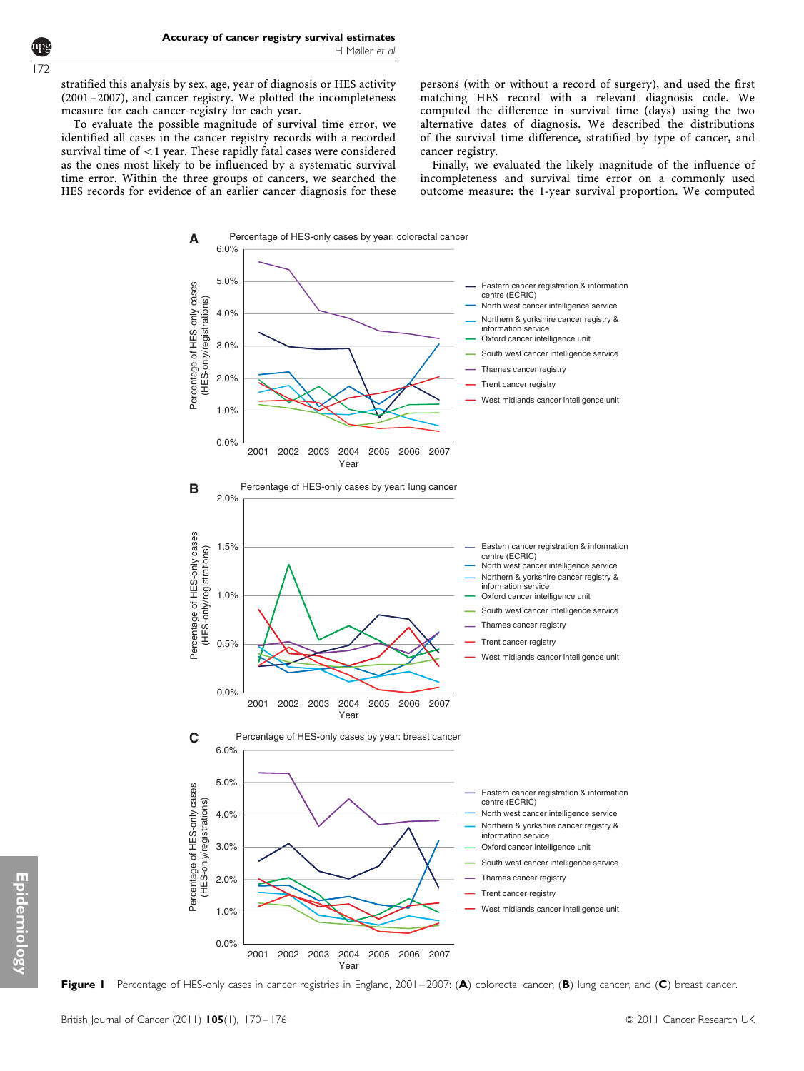stratified this analysis by sex, age, year of diagnosis or HES activity (2001–2007), and cancer registry. We plotted the incompleteness measure for each cancer registry for each year.

To evaluate the possible magnitude of survival time error, we identified all cases in the cancer registry records with a recorded survival time of  $<$  1 year. These rapidly fatal cases were considered as the ones most likely to be influenced by a systematic survival time error. Within the three groups of cancers, we searched the HES records for evidence of an earlier cancer diagnosis for these persons (with or without a record of surgery), and used the first matching HES record with a relevant diagnosis code. We computed the difference in survival time (days) using the two alternative dates of diagnosis. We described the distributions of the survival time difference, stratified by type of cancer, and cancer registry.

Finally, we evaluated the likely magnitude of the influence of incompleteness and survival time error on a commonly used outcome measure: the 1-year survival proportion. We computed



<span id="page-2-0"></span>172

Figure I Percentage of HES-only cases in cancer registries in England, 2001 – 2007: (A) colorectal cancer, (B) lung cancer, and (C) breast cancer.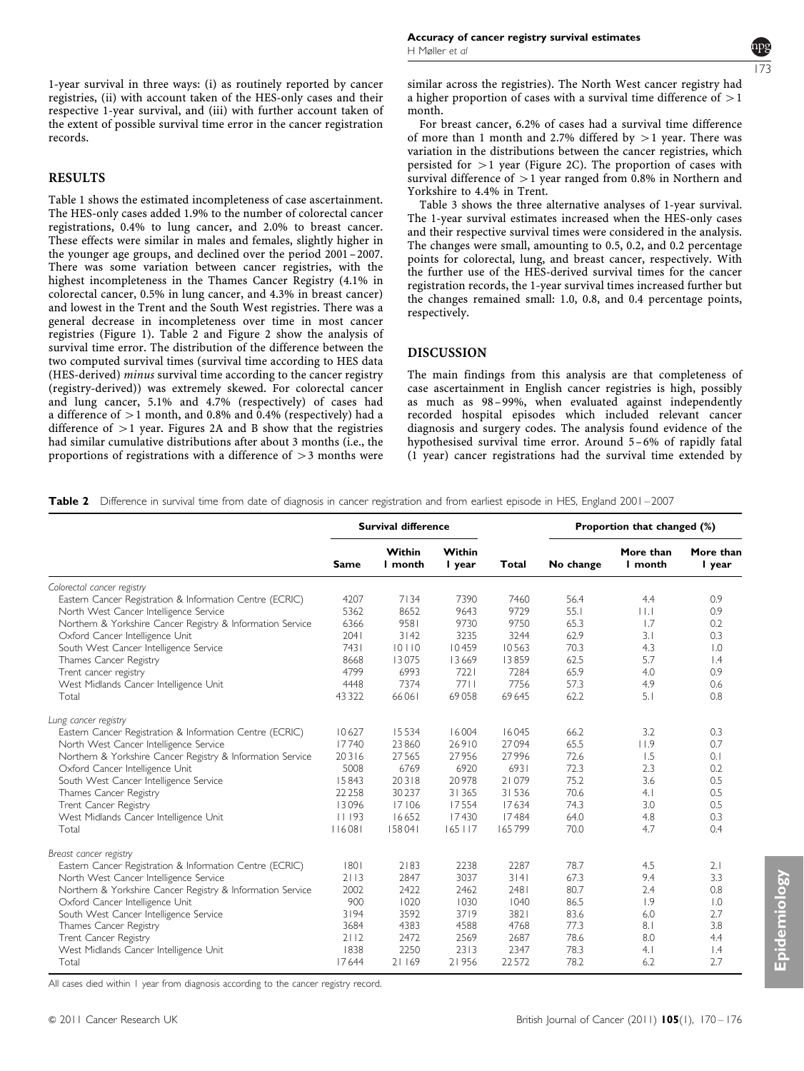1-year survival in three ways: (i) as routinely reported by cancer registries, (ii) with account taken of the HES-only cases and their respective 1-year survival, and (iii) with further account taken of the extent of possible survival time error in the cancer registration records.

### RESULTS

[Table 1](#page-1-0) shows the estimated incompleteness of case ascertainment. The HES-only cases added 1.9% to the number of colorectal cancer registrations, 0.4% to lung cancer, and 2.0% to breast cancer. These effects were similar in males and females, slightly higher in the younger age groups, and declined over the period 2001–2007. There was some variation between cancer registries, with the highest incompleteness in the Thames Cancer Registry (4.1% in colorectal cancer, 0.5% in lung cancer, and 4.3% in breast cancer) and lowest in the Trent and the South West registries. There was a general decrease in incompleteness over time in most cancer registries [\(Figure 1\)](#page-2-0). Table 2 and [Figure 2](#page-4-0) show the analysis of survival time error. The distribution of the difference between the two computed survival times (survival time according to HES data (HES-derived) minus survival time according to the cancer registry (registry-derived)) was extremely skewed. For colorectal cancer and lung cancer, 5.1% and 4.7% (respectively) of cases had a difference of  $>1$  month, and 0.8% and 0.4% (respectively) had a difference of  $>1$  year. [Figures 2A and B](#page-4-0) show that the registries had similar cumulative distributions after about 3 months (i.e., the proportions of registrations with a difference of  $>$ 3 months were similar across the registries). The North West cancer registry had a higher proportion of cases with a survival time difference of  $>1$ month.

For breast cancer, 6.2% of cases had a survival time difference of more than 1 month and 2.7% differed by  $>1$  year. There was variation in the distributions between the cancer registries, which persisted for  $>1$  year [\(Figure 2C](#page-4-0)). The proportion of cases with survival difference of  $>1$  year ranged from 0.8% in Northern and Yorkshire to 4.4% in Trent.

[Table 3](#page-5-0) shows the three alternative analyses of 1-year survival. The 1-year survival estimates increased when the HES-only cases and their respective survival times were considered in the analysis. The changes were small, amounting to 0.5, 0.2, and 0.2 percentage points for colorectal, lung, and breast cancer, respectively. With the further use of the HES-derived survival times for the cancer registration records, the 1-year survival times increased further but the changes remained small: 1.0, 0.8, and 0.4 percentage points, respectively.

### DISCUSSION

The main findings from this analysis are that completeness of case ascertainment in English cancer registries is high, possibly as much as 98–99%, when evaluated against independently recorded hospital episodes which included relevant cancer diagnosis and surgery codes. The analysis found evidence of the hypothesised survival time error. Around 5 –6% of rapidly fatal (1 year) cancer registrations had the survival time extended by

Table 2 Difference in survival time from date of diagnosis in cancer registration and from earliest episode in HES, England 2001 – 2007

|                                                            | <b>Survival difference</b> |                   |                  |        | Proportion that changed (%) |                      |                     |  |
|------------------------------------------------------------|----------------------------|-------------------|------------------|--------|-----------------------------|----------------------|---------------------|--|
|                                                            | <b>Same</b>                | Within<br>I month | Within<br>I year | Total  | No change                   | More than<br>I month | More than<br>I year |  |
| Colorectal cancer registry                                 |                            |                   |                  |        |                             |                      |                     |  |
| Eastern Cancer Registration & Information Centre (ECRIC)   | 4207                       | 7134              | 7390             | 7460   | 56.4                        | 4.4                  | 0.9                 |  |
| North West Cancer Intelligence Service                     | 5362                       | 8652              | 9643             | 9729   | 55.1                        | $  \cdot  $          | 0.9                 |  |
| Northern & Yorkshire Cancer Registry & Information Service | 6366                       | 9581              | 9730             | 9750   | 65.3                        | 1.7                  | 0.2                 |  |
| Oxford Cancer Intelligence Unit                            | 2041                       | 3142              | 3235             | 3244   | 62.9                        | 3.1                  | 0.3                 |  |
| South West Cancer Intelligence Service                     | 7431                       | 10110             | 10459            | 10563  | 70.3                        | 4.3                  | 1.0                 |  |
| Thames Cancer Registry                                     | 8668                       | 13075             | 13669            | 13859  | 62.5                        | 5.7                  | 1.4                 |  |
| Trent cancer registry                                      | 4799                       | 6993              | 7221             | 7284   | 65.9                        | 4.0                  | 0.9                 |  |
| West Midlands Cancer Intelligence Unit                     | 4448                       | 7374              | 7711             | 7756   | 57.3                        | 4.9                  | 0.6                 |  |
| Total                                                      | 43 3 22                    | 66061             | 69058            | 69645  | 62.2                        | 5.1                  | 0.8                 |  |
| Lung cancer registry                                       |                            |                   |                  |        |                             |                      |                     |  |
| Eastern Cancer Registration & Information Centre (ECRIC)   | 10627                      | 15534             | 16004            | 16045  | 66.2                        | 3.2                  | 0.3                 |  |
| North West Cancer Intelligence Service                     | 17740                      | 23860             | 26910            | 27094  | 65.5                        | 11.9                 | 0.7                 |  |
| Northern & Yorkshire Cancer Registry & Information Service | 20316                      | 27565             | 27956            | 27996  | 72.6                        | 1.5                  | 0.1                 |  |
| Oxford Cancer Intelligence Unit                            | 5008                       | 6769              | 6920             | 6931   | 72.3                        | 2.3                  | 0.2                 |  |
| South West Cancer Intelligence Service                     | 15843                      | 20318             | 20978            | 21079  | 75.2                        | 3.6                  | 0.5                 |  |
| Thames Cancer Registry                                     | 22 2 5 8                   | 30237             | 31365            | 31536  | 70.6                        | 4.1                  | 0.5                 |  |
| Trent Cancer Registry                                      | 13096                      | 17106             | 17554            | 17634  | 74.3                        | 3.0                  | 0.5                 |  |
| West Midlands Cancer Intelligence Unit                     | 11193                      | 16652             | 17430            | 17484  | 64.0                        | 4.8                  | 0.3                 |  |
| Total                                                      | 116081                     | 158041            | 165 117          | 165799 | 70.0                        | 4.7                  | 0.4                 |  |
| Breast cancer registry                                     |                            |                   |                  |        |                             |                      |                     |  |
| Eastern Cancer Registration & Information Centre (ECRIC)   | 80                         | 2183              | 2238             | 2287   | 78.7                        | 4.5                  | 2.1                 |  |
| North West Cancer Intelligence Service                     | 2113                       | 2847              | 3037             | 3 4    | 67.3                        | 9.4                  | 3.3                 |  |
| Northern & Yorkshire Cancer Registry & Information Service | 2002                       | 2422              | 2462             | 2481   | 80.7                        | 2.4                  | 0.8                 |  |
| Oxford Cancer Intelligence Unit                            | 900                        | 1020              | 1030             | 1040   | 86.5                        | 1.9                  | $\overline{1.0}$    |  |
| South West Cancer Intelligence Service                     | 3194                       | 3592              | 3719             | 3821   | 83.6                        | 6.0                  | 2.7                 |  |
| Thames Cancer Registry                                     | 3684                       | 4383              | 4588             | 4768   | 77.3                        | 8.1                  | 3.8                 |  |
| Trent Cancer Registry                                      | 2112                       | 2472              | 2569             | 2687   | 78.6                        | 8.0                  | 4.4                 |  |
| West Midlands Cancer Intelligence Unit                     | 1838                       | 2250              | 2313             | 2347   | 78.3                        | 4.1                  | 1.4                 |  |
| Total                                                      | 17644                      | 21169             | 21956            | 22572  | 78.2                        | 6.2                  | 2.7                 |  |

All cases died within 1 year from diagnosis according to the cancer registry record.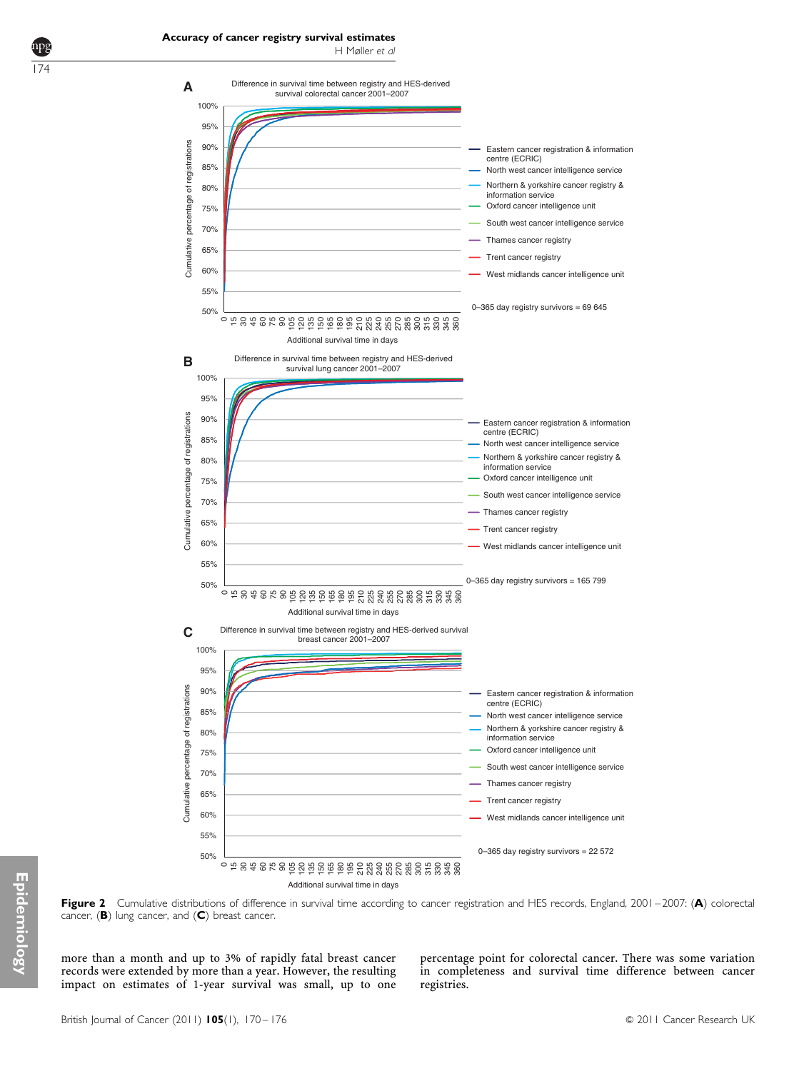

<span id="page-4-0"></span>174

Figure 2 Cumulative distributions of difference in survival time according to cancer registration and HES records, England, 2001 – 2007: (A) colorectal cancer, (B) lung cancer, and (C) breast cancer.

more than a month and up to 3% of rapidly fatal breast cancer records were extended by more than a year. However, the resulting impact on estimates of 1-year survival was small, up to one percentage point for colorectal cancer. There was some variation in completeness and survival time difference between cancer registries.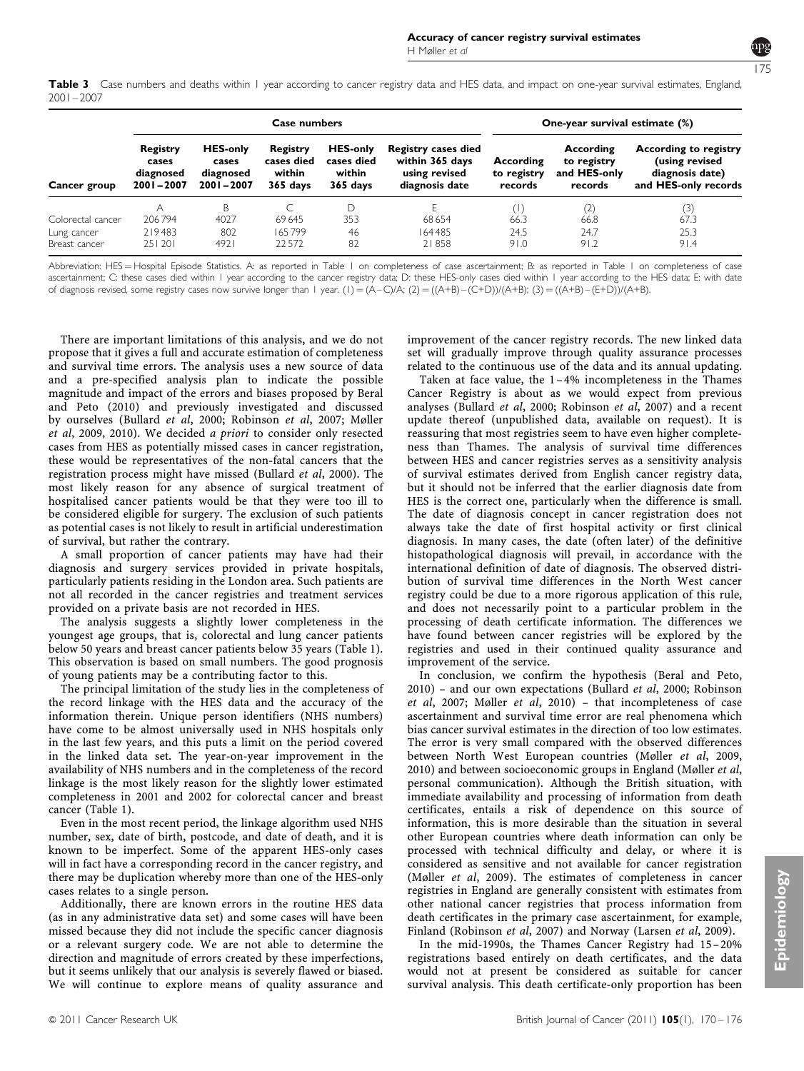

<span id="page-5-0"></span>Table 3 Case numbers and deaths within I year according to cancer registry data and HES data, and impact on one-year survival estimates, England, 2001 – 2007

|                   |                                             |                                                    | Case numbers                                                                                            |     | One-year survival estimate (%)                                            |                                     |                                                     |                                                                                           |  |
|-------------------|---------------------------------------------|----------------------------------------------------|---------------------------------------------------------------------------------------------------------|-----|---------------------------------------------------------------------------|-------------------------------------|-----------------------------------------------------|-------------------------------------------------------------------------------------------|--|
| Cancer group      | Registry<br>cases<br>diagnosed<br>2001-2007 | <b>HES-only</b><br>cases<br>diagnosed<br>2001-2007 | <b>HES-only</b><br>Registry<br>cases died<br>cases died<br>within<br>within<br>$365$ days<br>$365$ days |     | Registry cases died<br>within 365 days<br>using revised<br>diagnosis date | According<br>to registry<br>records | According<br>to registry<br>and HES-only<br>records | <b>According to registry</b><br>(using revised<br>diagnosis date)<br>and HES-only records |  |
|                   | А                                           | B                                                  |                                                                                                         |     | F                                                                         | (1)                                 | (2)                                                 | (3)                                                                                       |  |
| Colorectal cancer | 206794                                      | 4027                                               | 69645                                                                                                   | 353 | 68 654                                                                    | 66.3                                | 66.8                                                | 67.3                                                                                      |  |
| Lung cancer       | 219483                                      | 802                                                | 165799                                                                                                  | 46  | 164485                                                                    | 24.5                                | 24.7                                                | 25.3                                                                                      |  |
| Breast cancer     | 25   20                                     | 4921                                               | 22572                                                                                                   | 82  | 21858                                                                     | 91.0                                | 91.2                                                | 91.4                                                                                      |  |

Abbreviation: HES = Hospital Episode Statistics. A: as reported in [Table 1](#page-1-0) on completeness of case ascertainment; B: as reported in Table 1 on completeness of case ascertainment; C: these cases died within 1 year according to the cancer registry data; D: these HES-only cases died within 1 year according to the HES data; E: with date of diagnosis revised, some registry cases now survive longer than 1 year. (1) =  $(A-C)/A$ ; (2) =  $((A+B)-(C+D))/(A+B)$ ; (3) =  $((A+B)-(E+D))/(A+B)$ .

There are important limitations of this analysis, and we do not propose that it gives a full and accurate estimation of completeness and survival time errors. The analysis uses a new source of data and a pre-specified analysis plan to indicate the possible magnitude and impact of the errors and biases proposed by [Beral](#page-6-0) [and Peto \(2010\)](#page-6-0) and previously investigated and discussed by ourselves [\(Bullard](#page-6-0) et al, 2000; [Robinson](#page-6-0) et al, 2007; [Møller](#page-6-0) et al[, 2009, 2010\)](#page-6-0). We decided a priori to consider only resected cases from HES as potentially missed cases in cancer registration, these would be representatives of the non-fatal cancers that the registration process might have missed [\(Bullard](#page-6-0) et al, 2000). The most likely reason for any absence of surgical treatment of hospitalised cancer patients would be that they were too ill to be considered eligible for surgery. The exclusion of such patients as potential cases is not likely to result in artificial underestimation of survival, but rather the contrary.

A small proportion of cancer patients may have had their diagnosis and surgery services provided in private hospitals, particularly patients residing in the London area. Such patients are not all recorded in the cancer registries and treatment services provided on a private basis are not recorded in HES.

The analysis suggests a slightly lower completeness in the youngest age groups, that is, colorectal and lung cancer patients below 50 years and breast cancer patients below 35 years [\(Table 1\)](#page-1-0). This observation is based on small numbers. The good prognosis of young patients may be a contributing factor to this.

The principal limitation of the study lies in the completeness of the record linkage with the HES data and the accuracy of the information therein. Unique person identifiers (NHS numbers) have come to be almost universally used in NHS hospitals only in the last few years, and this puts a limit on the period covered in the linked data set. The year-on-year improvement in the availability of NHS numbers and in the completeness of the record linkage is the most likely reason for the slightly lower estimated completeness in 2001 and 2002 for colorectal cancer and breast cancer [\(Table 1](#page-1-0)).

Even in the most recent period, the linkage algorithm used NHS number, sex, date of birth, postcode, and date of death, and it is known to be imperfect. Some of the apparent HES-only cases will in fact have a corresponding record in the cancer registry, and there may be duplication whereby more than one of the HES-only cases relates to a single person.

Additionally, there are known errors in the routine HES data (as in any administrative data set) and some cases will have been missed because they did not include the specific cancer diagnosis or a relevant surgery code. We are not able to determine the direction and magnitude of errors created by these imperfections, but it seems unlikely that our analysis is severely flawed or biased. We will continue to explore means of quality assurance and improvement of the cancer registry records. The new linked data set will gradually improve through quality assurance processes related to the continuous use of the data and its annual updating.

Taken at face value, the 1 –4% incompleteness in the Thames Cancer Registry is about as we would expect from previous analyses [\(Bullard](#page-6-0) et al, 2000; [Robinson](#page-6-0) et al, 2007) and a recent update thereof (unpublished data, available on request). It is reassuring that most registries seem to have even higher completeness than Thames. The analysis of survival time differences between HES and cancer registries serves as a sensitivity analysis of survival estimates derived from English cancer registry data, but it should not be inferred that the earlier diagnosis date from HES is the correct one, particularly when the difference is small. The date of diagnosis concept in cancer registration does not always take the date of first hospital activity or first clinical diagnosis. In many cases, the date (often later) of the definitive histopathological diagnosis will prevail, in accordance with the international definition of date of diagnosis. The observed distribution of survival time differences in the North West cancer registry could be due to a more rigorous application of this rule, and does not necessarily point to a particular problem in the processing of death certificate information. The differences we have found between cancer registries will be explored by the registries and used in their continued quality assurance and improvement of the service.

In conclusion, we confirm the hypothesis ([Beral and Peto,](#page-6-0) [2010](#page-6-0)) – and our own expectations ([Bullard](#page-6-0) et al, 2000; [Robinson](#page-6-0) et al[, 2007; Møller](#page-6-0) et al, 2010) – that incompleteness of case ascertainment and survival time error are real phenomena which bias cancer survival estimates in the direction of too low estimates. The error is very small compared with the observed differences between North West European countries (Møller et al[, 2009,](#page-6-0) [2010](#page-6-0)) and between socioeconomic groups in England [\(Møller](#page-6-0) et al, [personal communication](#page-6-0)). Although the British situation, with immediate availability and processing of information from death certificates, entails a risk of dependence on this source of information, this is more desirable than the situation in several other European countries where death information can only be processed with technical difficulty and delay, or where it is considered as sensitive and not available for cancer registration [\(Møller](#page-6-0) et al, 2009). The estimates of completeness in cancer registries in England are generally consistent with estimates from other national cancer registries that process information from death certificates in the primary case ascertainment, for example, Finland ([Robinson](#page-6-0) et al, 2007) and Norway ([Larsen](#page-6-0) et al, 2009).

In the mid-1990s, the Thames Cancer Registry had 15– 20% registrations based entirely on death certificates, and the data would not at present be considered as suitable for cancer survival analysis. This death certificate-only proportion has been